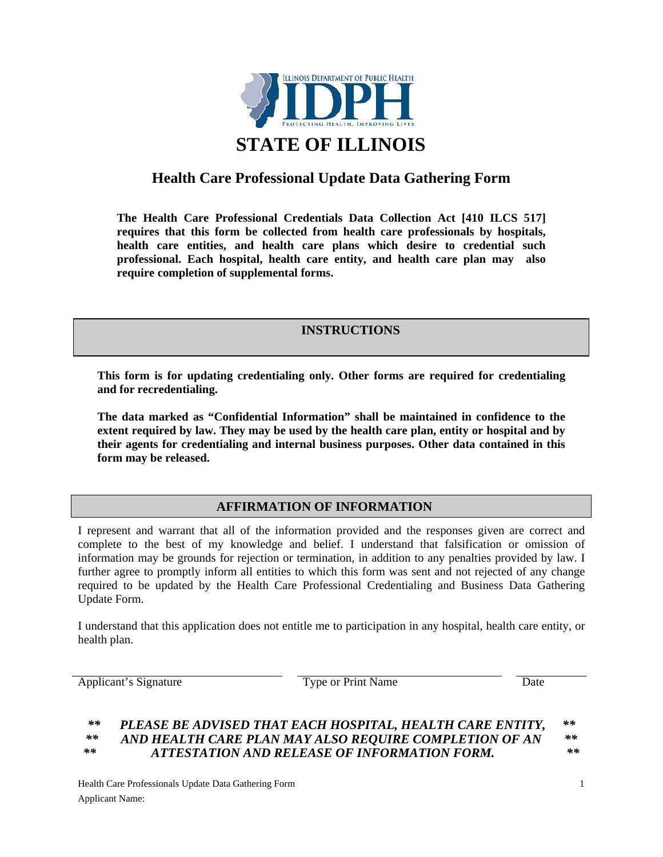

# **Health Care Professional Update Data Gathering Form**

**The Health Care Professional Credentials Data Collection Act [410 ILCS 517] requires that this form be collected from health care professionals by hospitals, health care entities, and health care plans which desire to credential such professional. Each hospital, health care entity, and health care plan may also require completion of supplemental forms.** 

# **INSTRUCTIONS**

**This form is for updating credentialing only. Other forms are required for credentialing and for recredentialing.** 

**The data marked as "Confidential Information" shall be maintained in confidence to the extent required by law. They may be used by the health care plan, entity or hospital and by their agents for credentialing and internal business purposes. Other data contained in this form may be released.** 

## **AFFIRMATION OF INFORMATION**

I represent and warrant that all of the information provided and the responses given are correct and complete to the best of my knowledge and belief. I understand that falsification or omission of information may be grounds for rejection or termination, in addition to any penalties provided by law. I further agree to promptly inform all entities to which this form was sent and not rejected of any change required to be updated by the Health Care Professional Credentialing and Business Data Gathering Update Form.

I understand that this application does not entitle me to participation in any hospital, health care entity, or health plan.

Applicant's Signature Type or Print Name Date

#### *\*\* PLEASE BE ADVISED THAT EACH HOSPITAL, HEALTH CARE ENTITY, \*\* \*\* AND HEALTH CARE PLAN MAY ALSO REQUIRE COMPLETION OF AN \*\* \*\* ATTESTATION AND RELEASE OF INFORMATION FORM. \*\**